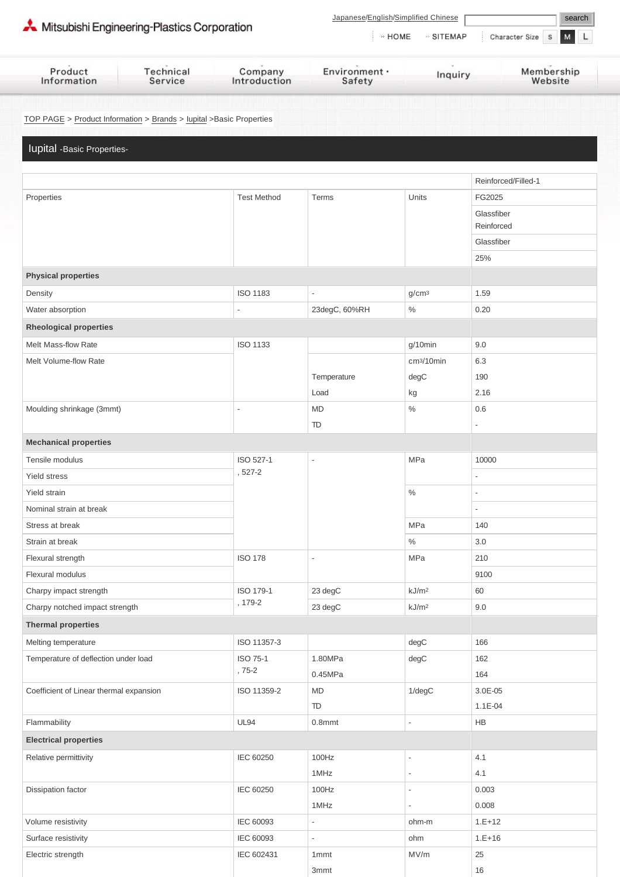| Mitsubishi Engineering-Plastics Corporation                          |                      |                         | Japanese/English/Simplified Chinese<br>search |                           |                                    |  |
|----------------------------------------------------------------------|----------------------|-------------------------|-----------------------------------------------|---------------------------|------------------------------------|--|
|                                                                      |                      |                         |                                               | $\cdot$ HOME<br>» SITEMAP | Character Size<br>$\mathbb S$<br>M |  |
| Product<br>Information                                               | Technical<br>Service | Company<br>Introduction | Environment ·<br>Safety                       | Inquiry                   | Membership<br>Website              |  |
|                                                                      |                      |                         |                                               |                           |                                    |  |
| TOP PAGE > Product Information > Brands > lupital > Basic Properties |                      |                         |                                               |                           |                                    |  |
| lupital - Basic Properties-                                          |                      |                         |                                               |                           |                                    |  |
|                                                                      |                      |                         |                                               |                           |                                    |  |
|                                                                      |                      |                         |                                               |                           | Reinforced/Filled-1                |  |
| Properties                                                           |                      | <b>Test Method</b>      | Terms                                         | Units                     | FG2025                             |  |
|                                                                      |                      |                         |                                               |                           | Glassfiber                         |  |
|                                                                      |                      |                         |                                               |                           | Reinforced                         |  |
|                                                                      |                      |                         |                                               |                           | Glassfiber                         |  |
|                                                                      |                      |                         |                                               |                           | 25%                                |  |
| <b>Physical properties</b>                                           |                      |                         |                                               |                           |                                    |  |
| Density                                                              |                      | <b>ISO 1183</b>         | $\overline{\phantom{a}}$                      | g/cm <sup>3</sup>         | 1.59                               |  |
| Water absorption                                                     |                      | $\overline{a}$          | 23degC, 60%RH                                 | $\%$                      | 0.20                               |  |
| <b>Rheological properties</b>                                        |                      |                         |                                               |                           |                                    |  |
| Melt Mass-flow Rate                                                  |                      | <b>ISO 1133</b>         |                                               | g/10min                   | 9.0                                |  |
| Melt Volume-flow Rate                                                |                      |                         |                                               | cm <sup>3</sup> /10min    | 6.3                                |  |
|                                                                      |                      |                         | Temperature                                   | degC                      | 190                                |  |
|                                                                      |                      |                         | Load                                          | kg                        | 2.16                               |  |
| Moulding shrinkage (3mmt)                                            |                      |                         | <b>MD</b>                                     | $\%$                      | 0.6                                |  |
|                                                                      |                      |                         | TD                                            |                           | $\overline{\phantom{a}}$           |  |
| <b>Mechanical properties</b>                                         |                      |                         |                                               |                           |                                    |  |
| Tensile modulus                                                      |                      | ISO 527-1               |                                               | MPa                       | 10000                              |  |
| Yield stress                                                         |                      | , 527-2                 |                                               |                           | $\overline{\phantom{a}}$           |  |
| Yield strain                                                         |                      |                         |                                               | $\%$                      |                                    |  |
| Nominal strain at break                                              |                      |                         |                                               |                           | $\overline{\phantom{a}}$           |  |
| Stress at break                                                      |                      |                         |                                               | MPa                       | 140                                |  |
| Strain at break                                                      |                      |                         |                                               | $\%$                      | 3.0                                |  |
| Flexural strength                                                    |                      | <b>ISO 178</b>          | $\overline{a}$                                | MPa                       | 210                                |  |
| Flexural modulus                                                     |                      |                         |                                               |                           | 9100                               |  |
| Charpy impact strength                                               |                      | ISO 179-1<br>, 179-2    | 23 degC                                       | kJ/m <sup>2</sup>         | 60                                 |  |
| Charpy notched impact strength                                       |                      |                         | 23 degC                                       | kJ/m <sup>2</sup>         | 9.0                                |  |
| <b>Thermal properties</b>                                            |                      |                         |                                               |                           |                                    |  |
| Melting temperature                                                  |                      | ISO 11357-3             |                                               | degC                      | 166                                |  |
| Temperature of deflection under load                                 |                      | ISO 75-1                | 1.80MPa                                       | degC                      | 162                                |  |
|                                                                      |                      | $,75-2$                 | 0.45MPa                                       |                           | 164                                |  |
| Coefficient of Linear thermal expansion                              |                      | ISO 11359-2             | <b>MD</b>                                     | $1$ /deg $C$              | 3.0E-05                            |  |
|                                                                      |                      |                         | TD                                            |                           | 1.1E-04                            |  |
| Flammability                                                         |                      | <b>UL94</b>             | $0.8$ mmt                                     | $\overline{\phantom{a}}$  | HB                                 |  |
| <b>Electrical properties</b>                                         |                      |                         |                                               |                           |                                    |  |
| Relative permittivity                                                |                      | IEC 60250               | 100Hz                                         | $\overline{\phantom{a}}$  | 4.1                                |  |
|                                                                      |                      |                         | 1MHz                                          | $\overline{\phantom{a}}$  | 4.1                                |  |
| Dissipation factor                                                   |                      | IEC 60250               | 100Hz                                         | $\overline{\phantom{a}}$  | 0.003                              |  |
|                                                                      |                      |                         | 1MHz                                          | $\overline{\phantom{a}}$  | 0.008                              |  |
| Volume resistivity                                                   |                      | IEC 60093               | $\overline{\phantom{a}}$                      | ohm-m                     | $1.E+12$                           |  |
| Surface resistivity                                                  |                      | IEC 60093               | $\overline{\phantom{a}}$                      | ohm                       | $1.E+16$                           |  |
| Electric strength                                                    |                      | IEC 602431              | 1 <sub>mmt</sub>                              | MV/m                      | 25                                 |  |

3mmt 16